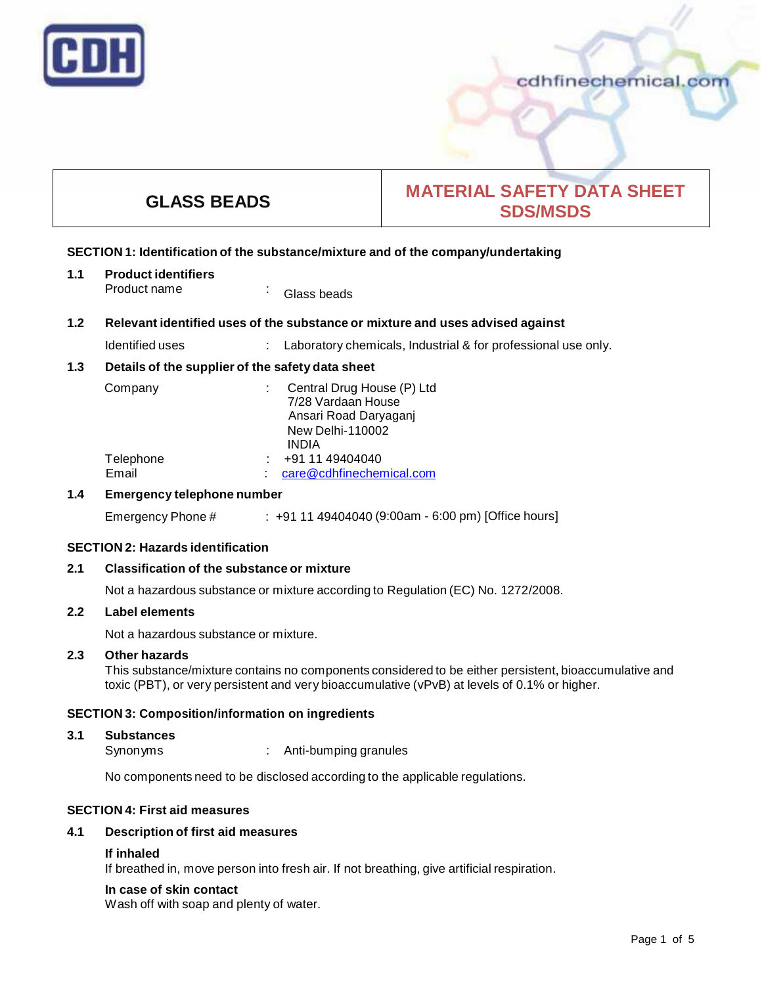

# **GLASS BEADS MATERIAL SAFETY DATA SHEET SDS/MSDS**

# **SECTION 1: Identification of the substance/mixture and of the company/undertaking**

**1.1 Product identifiers** Product name : Glass beads

# **1.2 Relevant identified uses of the substance ormixture and uses advised against**

Identified uses : Laboratory chemicals, Industrial & for professional use only.

# **1.3 Details of the supplier of the safety data sheet**

| Company   | Central Drug House (P) Ltd |
|-----------|----------------------------|
|           | 7/28 Vardaan House         |
|           | Ansari Road Daryaganj      |
|           | <b>New Delhi-110002</b>    |
|           | INDIA                      |
| Telephone | +91 11 49404040            |
| Email     | care@cdhfinechemical.com   |

# **1.4 Emergency telephone number**

Emergency Phone # : +91 11 49404040 (9:00am - 6:00 pm) [Office hours]

# **SECTION 2: Hazards identification**

# **2.1 Classification of the substance ormixture**

Not a hazardous substance or mixture according to Regulation (EC) No. 1272/2008.

#### **2.2 Label elements**

Not a hazardous substance or mixture.

# **2.3 Other hazards**

This substance/mixture contains no components considered to be either persistent, bioaccumulative and toxic (PBT), or very persistent and very bioaccumulative (vPvB) at levels of 0.1% or higher.

# **SECTION 3: Composition/information on ingredients**

# **3.1 Substances**

Synonyms : Anti-bumping granules

No components need to be disclosed according to the applicable regulations.

# **SECTION 4: First aid measures**

# **4.1 Description of first aid measures**

# **If inhaled**

If breathed in, move person into fresh air. If not breathing, give artificial respiration.

# **In case of skin contact**

Wash off with soap and plenty of water.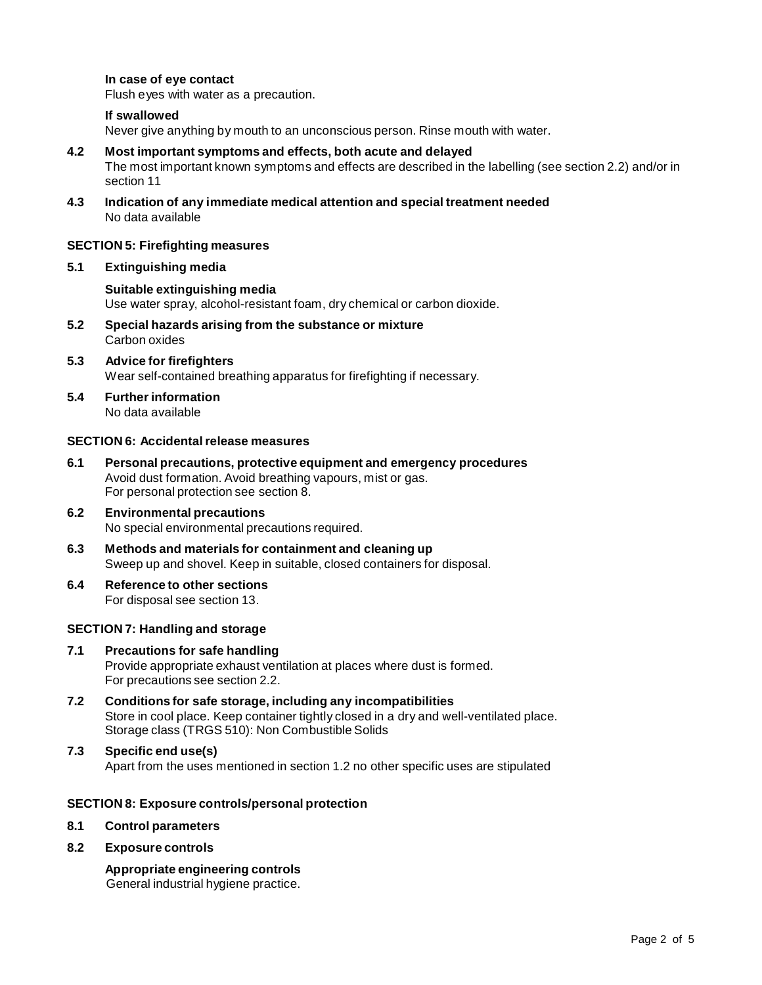## **In case of eye contact**

Flush eyes with water as a precaution.

#### **If swallowed**

Never give anything by mouth to an unconscious person. Rinse mouth with water.

#### **4.2 Most important symptoms and effects, both acute and delayed**

The most important known symptoms and effects are described in the labelling (see section 2.2) and/or in section 11

**4.3 Indication of any immediate medical attention and special treatment needed** No data available

#### **SECTION 5: Firefighting measures**

**5.1 Extinguishing media**

#### **Suitable extinguishing media**

Use water spray, alcohol-resistant foam, dry chemical or carbon dioxide.

- **5.2 Special hazards arising from the substance ormixture** Carbon oxides
- **5.3 Advice for firefighters** Wear self-contained breathing apparatus for firefighting if necessary.
- **5.4 Further information** No data available

#### **SECTION 6: Accidentalrelease measures**

- **6.1 Personal precautions, protective equipment and emergency procedures** Avoid dust formation. Avoid breathing vapours, mist or gas. For personal protection see section 8.
- **6.2 Environmental precautions** No special environmental precautions required.
- **6.3 Methods and materials for containment and cleaning up** Sweep up and shovel. Keep in suitable, closed containers for disposal.
- **6.4 Reference to other sections** For disposal see section 13.

#### **SECTION 7: Handling and storage**

#### **7.1 Precautions for safe handling** Provide appropriate exhaust ventilation at places where dust is formed. For precautions see section 2.2.

- **7.2 Conditions for safe storage, including any incompatibilities** Store in cool place. Keep container tightly closed in a dry and well-ventilated place. Storage class (TRGS 510): Non Combustible Solids
- **7.3 Specific end use(s)** Apart from the uses mentioned in section 1.2 no other specific uses are stipulated

#### **SECTION 8: Exposure controls/personal protection**

**8.1 Control parameters**

#### **8.2 Exposure controls**

**Appropriate engineering controls** General industrial hygiene practice.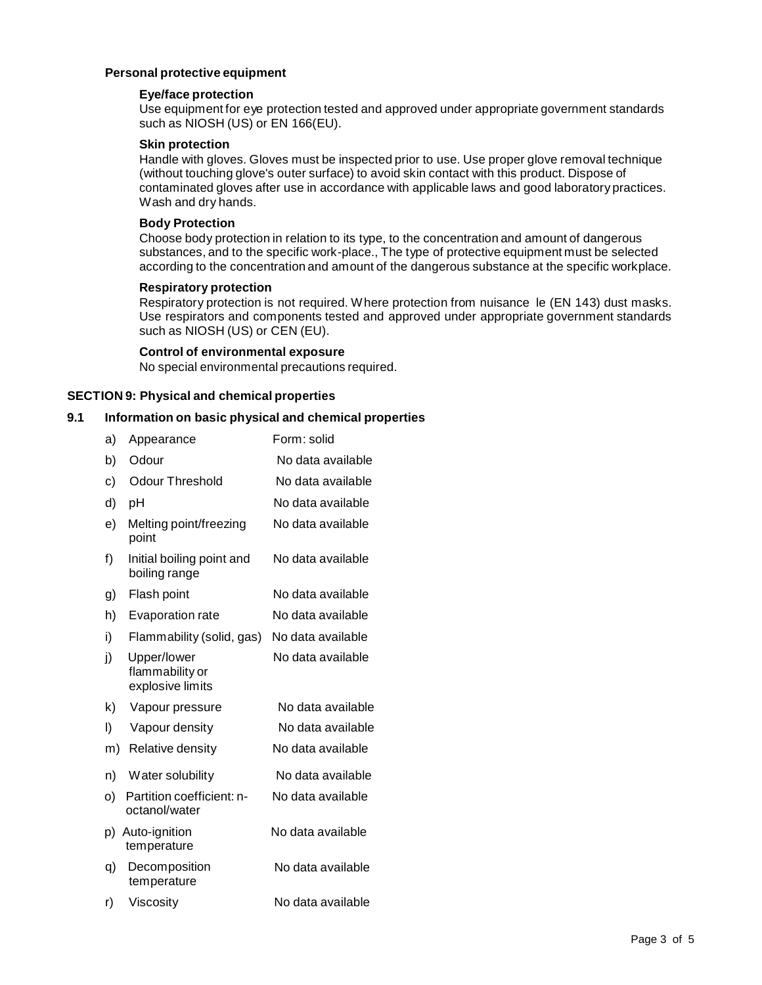# **Personal protective equipment**

# **Eye/face protection**

Use equipment for eye protection tested and approved under appropriate government standards such as NIOSH (US) or EN 166(EU).

# **Skin protection**

Handle with gloves. Gloves must be inspected prior to use. Use proper glove removal technique (without touching glove's outer surface) to avoid skin contact with this product. Dispose of contaminated gloves after use in accordance with applicable laws and good laboratory practices. Wash and dry hands.

# **Body Protection**

Choose body protection in relation to its type, to the concentration and amount of dangerous substances, and to the specific work-place., The type of protective equipment must be selected according to the concentration and amount of the dangerous substance at the specific workplace.

# **Respiratory protection**

Respiratory protection is not required. Where protection from nuisance le (EN 143) dust masks. Use respirators and components tested and approved under appropriate government standards such as NIOSH (US) or CEN (EU).

#### **Control of environmental exposure**

No special environmental precautions required.

# **SECTION 9: Physical and chemical properties**

# **9.1 Information on basic physical and chemical properties**

| a) | Appearance                                         | Form: solid       |
|----|----------------------------------------------------|-------------------|
| b) | Odour                                              | No data available |
| c) | <b>Odour Threshold</b>                             | No data available |
| d) | рH                                                 | No data available |
| e) | Melting point/freezing<br>point                    | No data available |
| f) | Initial boiling point and<br>boiling range         | No data available |
| g) | Flash point                                        | No data available |
| h) | Evaporation rate                                   | No data available |
| i) | Flammability (solid, gas)                          | No data available |
| j) | Upper/lower<br>flammability or<br>explosive limits | No data available |
| k) | Vapour pressure                                    | No data available |
| I) | Vapour density                                     | No data available |
| m) | Relative density                                   | No data available |
| n) | Water solubility                                   | No data available |
| O) | Partition coefficient: n-<br>octanol/water         | No data available |
| p) | Auto-ignition<br>temperature                       | No data available |
| q) | Decomposition<br>temperature                       | No data available |
| r) | Viscosity                                          | No data available |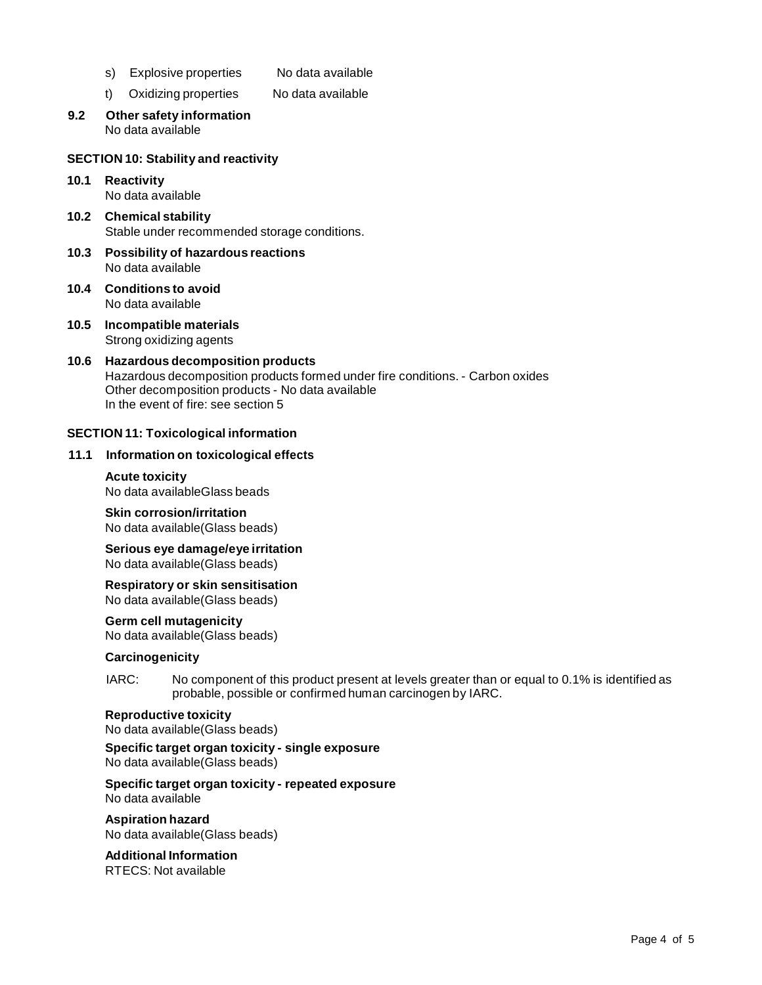- s) Explosive properties No data available
- t) Oxidizing properties No data available
- **9.2 Other safety information** No data available

#### **SECTION 10: Stability and reactivity**

- **10.1 Reactivity** No data available
- **10.2 Chemical stability** Stable under recommended storage conditions.
- **10.3 Possibility of hazardous reactions** No data available
- **10.4 Conditions to avoid** No data available
- **10.5 Incompatible materials** Strong oxidizing agents

#### **10.6 Hazardous decomposition products** Hazardous decomposition products formed under fire conditions. - Carbon oxides Other decomposition products - No data available In the event of fire: see section 5

#### **SECTION 11: Toxicological information**

#### **11.1 Information on toxicological effects**

#### **Acute toxicity** No data availableGlass beads

**Skin corrosion/irritation** No data available(Glass beads)

**Serious eye damage/eye irritation** No data available(Glass beads)

**Respiratory orskin sensitisation** No data available(Glass beads)

# **Germ cell mutagenicity**

No data available(Glass beads)

# **Carcinogenicity**

IARC: No component of this product present at levels greater than or equal to 0.1% is identified as probable, possible or confirmed human carcinogen by IARC.

# **Reproductive toxicity**

No data available(Glass beads)

#### **Specific target organ toxicity - single exposure** No data available(Glass beads)

**Specific target organ toxicity - repeated exposure** No data available

**Aspiration hazard** No data available(Glass beads)

# **Additional Information**

RTECS: Not available